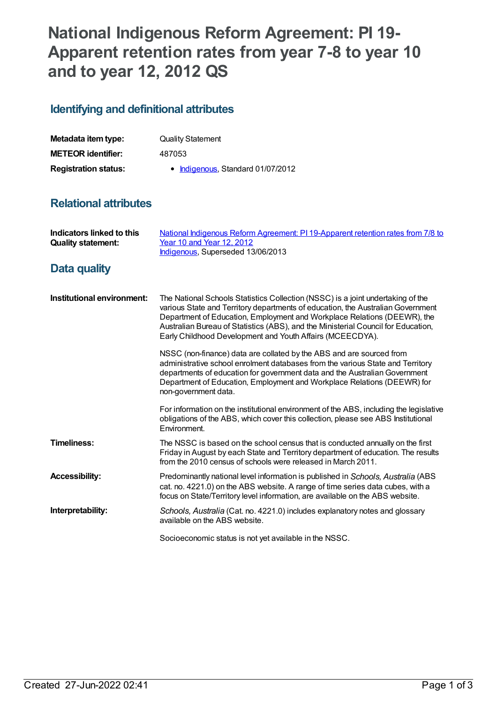## **National Indigenous Reform Agreement: PI 19- Apparent retention rates from year 7-8 to year 10 and to year 12, 2012 QS**

## **Identifying and definitional attributes**

| Metadata item type:         | <b>Quality Statement</b>          |
|-----------------------------|-----------------------------------|
| <b>METEOR identifier:</b>   | 487053                            |
| <b>Registration status:</b> | • Indigenous, Standard 01/07/2012 |

## **Relational attributes**

| Indicators linked to this<br><b>Quality statement:</b> | National Indigenous Reform Agreement: PI 19-Apparent retention rates from 7/8 to<br><b>Year 10 and Year 12, 2012</b><br>Indigenous, Superseded 13/06/2013                                                                                                                                                                                                                                        |
|--------------------------------------------------------|--------------------------------------------------------------------------------------------------------------------------------------------------------------------------------------------------------------------------------------------------------------------------------------------------------------------------------------------------------------------------------------------------|
| Data quality                                           |                                                                                                                                                                                                                                                                                                                                                                                                  |
| Institutional environment:                             | The National Schools Statistics Collection (NSSC) is a joint undertaking of the<br>various State and Territory departments of education, the Australian Government<br>Department of Education, Employment and Workplace Relations (DEEWR), the<br>Australian Bureau of Statistics (ABS), and the Ministerial Council for Education,<br>Early Childhood Development and Youth Affairs (MCEECDYA). |
|                                                        | NSSC (non-finance) data are collated by the ABS and are sourced from<br>administrative school enrolment databases from the various State and Territory<br>departments of education for government data and the Australian Government<br>Department of Education, Employment and Workplace Relations (DEEWR) for<br>non-government data.                                                          |
|                                                        | For information on the institutional environment of the ABS, including the legislative<br>obligations of the ABS, which cover this collection, please see ABS Institutional<br>Environment.                                                                                                                                                                                                      |
| <b>Timeliness:</b>                                     | The NSSC is based on the school census that is conducted annually on the first<br>Friday in August by each State and Territory department of education. The results<br>from the 2010 census of schools were released in March 2011.                                                                                                                                                              |
| <b>Accessibility:</b>                                  | Predominantly national level information is published in Schools, Australia (ABS<br>cat. no. 4221.0) on the ABS website. A range of time series data cubes, with a<br>focus on State/Territory level information, are available on the ABS website.                                                                                                                                              |
| Interpretability:                                      | Schools, Australia (Cat. no. 4221.0) includes explanatory notes and glossary<br>available on the ABS website.                                                                                                                                                                                                                                                                                    |
|                                                        | Socioeconomic status is not yet available in the NSSC.                                                                                                                                                                                                                                                                                                                                           |